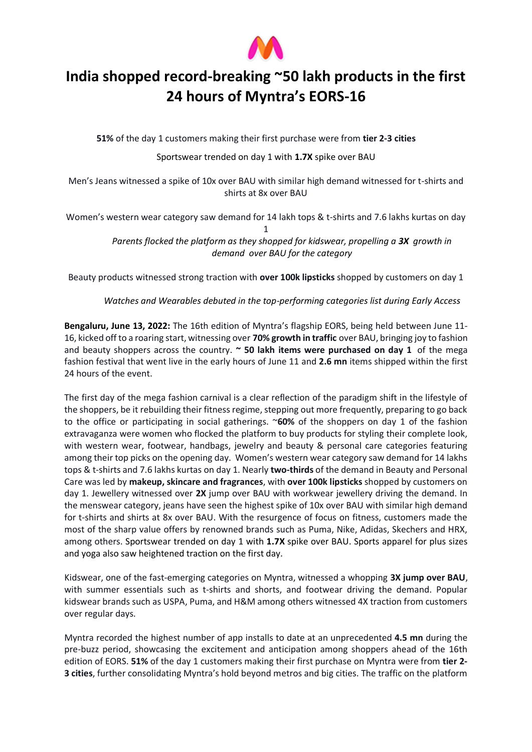

## **India shopped record-breaking ~50 lakh products in the first 24 hours of Myntra's EORS-16**

**51%** of the day 1 customers making their first purchase were from **tier 2-3 cities**

Sportswear trended on day 1 with **1.7X** spike over BAU

Men's Jeans witnessed a spike of 10x over BAU with similar high demand witnessed for t-shirts and shirts at 8x over BAU

Women's western wear category saw demand for 14 lakh tops & t-shirts and 7.6 lakhs kurtas on day

1 *Parents flocked the platform as they shopped for kidswear, propelling a 3X growth in demand over BAU for the category*

Beauty products witnessed strong traction with **over 100k lipsticks** shopped by customers on day 1

*Watches and Wearables debuted in the top-performing categories list during Early Access*

**Bengaluru, June 13, 2022:** The 16th edition of Myntra's flagship EORS, being held between June 11- 16, kicked off to a roaring start, witnessing over **70% growth in traffic** over BAU, bringing joy to fashion and beauty shoppers across the country. **~ 50 lakh items were purchased on day 1** of the mega fashion festival that went live in the early hours of June 11 and **2.6 mn** items shipped within the first 24 hours of the event.

The first day of the mega fashion carnival is a clear reflection of the paradigm shift in the lifestyle of the shoppers, be it rebuilding their fitness regime, stepping out more frequently, preparing to go back to the office or participating in social gatherings. ~**60%** of the shoppers on day 1 of the fashion extravaganza were women who flocked the platform to buy products for styling their complete look, with western wear, footwear, handbags, jewelry and beauty & personal care categories featuring among their top picks on the opening day. Women's western wear category saw demand for 14 lakhs tops & t-shirts and 7.6 lakhs kurtas on day 1. Nearly **two-thirds** of the demand in Beauty and Personal Care was led by **makeup, skincare and fragrances**, with **over 100k lipsticks** shopped by customers on day 1. Jewellery witnessed over **2X** jump over BAU with workwear jewellery driving the demand. In the menswear category, jeans have seen the highest spike of 10x over BAU with similar high demand for t-shirts and shirts at 8x over BAU. With the resurgence of focus on fitness, customers made the most of the sharp value offers by renowned brands such as Puma, Nike, Adidas, Skechers and HRX, among others. Sportswear trended on day 1 with **1.7X** spike over BAU. Sports apparel for plus sizes and yoga also saw heightened traction on the first day.

Kidswear, one of the fast-emerging categories on Myntra, witnessed a whopping **3X jump over BAU**, with summer essentials such as t-shirts and shorts, and footwear driving the demand. Popular kidswear brands such as USPA, Puma, and H&M among others witnessed 4X traction from customers over regular days.

Myntra recorded the highest number of app installs to date at an unprecedented **4.5 mn** during the pre-buzz period, showcasing the excitement and anticipation among shoppers ahead of the 16th edition of EORS. **51%** of the day 1 customers making their first purchase on Myntra were from **tier 2- 3 cities**, further consolidating Myntra's hold beyond metros and big cities. The traffic on the platform